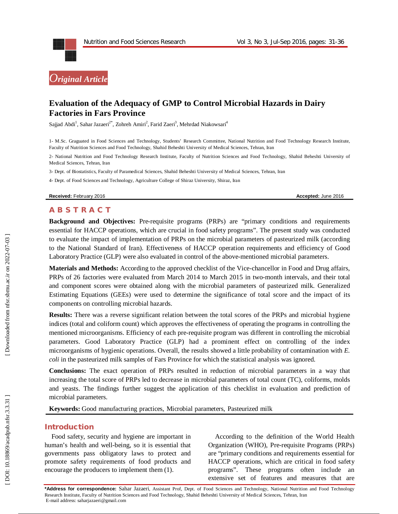

# **Evaluation of the Adequacy of GMP to Control Microbial Hazards in Dairy Factories in Fars Province**

Sajjad Abdi<sup>1</sup>, Sahar Jazaeri<sup>2\*</sup>, Zohreh Amiri<sup>2</sup>, Farid Zaeri<sup>3</sup>, Mehrdad Niakowsari<sup>4</sup>

1 - M.Sc. Graguated in Food Sciences and Technology, Students' Research Committee, National Nutrition and Food Technology Research Institute, Faculty of Nutrition Sciences and Food Technology, Shahid Beheshti University of Medical Sciences, Tehran, Iran<br>2- National Nutrition and Food Technology Research Institute, Faculty of Nutrition Sciences and Food Technolog

Medical Sciences, Tehran, Iran

3- Dept. of Biostatistics, Faculty of Paramedical Sciences, Shahid Beheshti University of Medical Sciences, Tehran, Iran

4- Dept. of Food Sciences and Technology, Agriculture College of Shiraz University, Shiraz, Iran

**Received:** February 201

6 **Accepted:** June 201 6

## **A B S T R A C T**

**Background and Objectives:** Pre -requisite programs (PRPs) are "primary conditions and requirements essential for HACCP operations, which are crucial in food safety programs". The present study was conducted to evaluate the impact of implementation of PRPs on the microbial parameters of pasteurized milk (according to the National Standard of Iran). Effectiveness of HACCP operation requirements and efficiency of Good Laboratory Practice (GLP) were also evaluated in control of the above -mentioned microbial parameters.

**Materials and Methods:** According to the approved checklist of the Vice -chancellor in Food and Drug affairs, PRPs of 26 factories were evaluated from March 2014 to March 2015 in two-month intervals, and their total and component scores were obtained along with the microbial parameters of pasteurized milk. Generalized Estimating Equations (GEEs) were used to determine the significance of total score and the impact of its components on controlling microbial hazards.

**Results:** There was a reverse significant relation between the total scores of the PRPs and microbial hygiene indices (total and coliform count) which approves the effectiveness of operating the programs in controlling the mentioned microorganisms. Efficiency of each pre-requisite program was different in controlling the microbial parameters. Good Laboratory Practice (GLP) had a prominent effect on controlling of the index microorganisms of hygienic operations. Overall, the results showed a little probability of contamination with *E. coli* in the pasteurized milk samples of Fars Province for which the statistical analysis was ignored.

**Conclusions:** The exact operation of PRPs resulted in reduction of microbial parameters in a way that increasing the total score of PRPs led to decrease in microbial parameters of total count (TC), coliforms, molds and yeasts. The findings further suggest the application of this checklist in evaluation and prediction of microbial parameters.

**Keywords:** Good manufacturing practices, Microbial parameters, Pasteurized milk

#### **Introduction**

Food safety, security and hygiene are important in human's health and well -being, so it is essential that governments pass obligatory laws to protect and promote safety requirements of food products and encourage the producers to implement them (1).

According to the definition of the World Health Organization (WHO), Pre -requisite Programs (PRPs) are "primary conditions and requirements essential for HACCP operations, which are critical in food safety programs". These programs often include an extensive set of features and measures that are

**\*Address for correspondence:** Sahar Jazaeri, Assistant Prof, Dept. of Food Sciences and Technology, National Nutrition and Food Technology Research Institute, Faculty of Nutrition Sciences and Food Technology, Shahid Beheshti University of Medical Sciences, Tehran, Iran E-mail address: saharjazaeri@gmail.com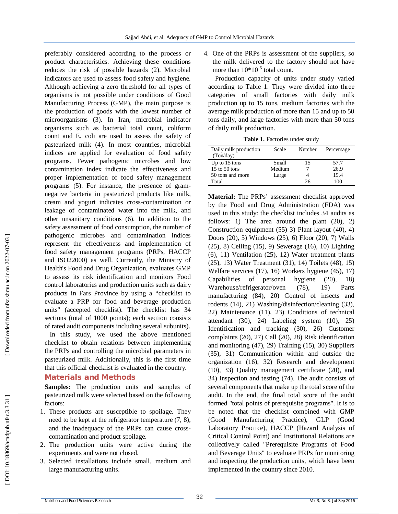preferably considered according to the process or product characteristics. Achieving these conditions reduces the risk of possible hazards (2). Microbial indicators are used to assess food safety and hygiene. Although achieving a zero threshold for all types of organisms is not possible under conditions of Good Manufacturing Process (GMP), the main purpose is the production of goods with the lowest number of microorganisms (3). In Iran, microbial indicator organisms such as bacterial total count, coliform count and E. coli are used to assess the safety of pasteurized milk (4). In most countries, microbial indices are applied for evaluation of food safety programs. Fewer pathogenic microbes and low contamination index indicate the effectiveness and proper implementation of food safety management programs (5). For instance, the presence of gram negative bacteria in pasteurized products like milk, cream and yogurt indicates cross -contamination or leakage of contaminated water into the milk, and other unsanitary conditions (6). In addition to the safety assessment of food consumption, the number of pathogenic microbes and contamination indices represent the effectiveness and implementation of food safety management programs (PRPs, HACCP and ISO22000) as well. Currently, the Ministry of Health's Food and Drug Organization, evaluates GMP to assess its risk identification and monitors Food control laboratories and production units such as dairy products in Fars Province by using a "checklist to evaluate a PRP for food and beverage production units" (accepted checklist). The checklist has 34 sections (total of 1000 points); each section consists of rated audit components including several subunits).

In this study, we used the above mentioned checklist to obtain relations between implementing the PRPs and controlling the microbial parameters in pasteurized milk. Additionally, this is the first time that this official checklist is evaluated in the country.

## **Material s and Methods**

**Samples :** The production units and samples of pasteurized milk were selected based on the following factors:

- 1 . These products are susceptible to spoilage. They need to be kept at the refrigerator temperature (7, 8), and the inadequacy of the PRPs can cause cross contamination and product spoilage.
- 2 . The production units were active during the experiments and were not closed.
- 3 . Selected installations include small, medium and large manufacturing units.

4 . One of the PRPs is assessment of the suppliers, so the milk delivered to the factory should not have more than  $10*10$ <sup>5</sup> total count.

Production capacity of units under study varied according to Table 1. They were divided into three categories of small factories with daily milk production up to 15 tons, medium factories with the average milk production of more than 15 and up to 50 tons daily, and large factories with more than 50 tons of daily milk production.

| Table 1. Factories under study |  |
|--------------------------------|--|
|--------------------------------|--|

| Daily milk production<br>(Ton/day) | Scale  | Number | Percentage |
|------------------------------------|--------|--------|------------|
| Up to 15 tons                      | Small  | 15     | 57.7       |
| $15$ to $50$ tons                  | Medium |        | 26.9       |
| 50 tons and more                   | Large  |        | 15.4       |
| Total                              |        | 26     | 100        |

**Material:** The PRPs' assessment checklist approved by the Food and Drug Administration (FDA) was used in this study: the checklist includes 34 audits as follows: 1) The area around the plant (20), 2) Construction equipment (55) 3) Plant layout (40), 4) Doors (20), 5) Windows (25), 6) Floor (20), 7) Walls (25), 8) Ceiling (15), 9) Sewerage (16), 10) Lighting (6), 11) Ventilation (25), 12) Water treatment plants (25), 13) Water Treatment (31), 14) Toilets (48), 15) Welfare services (17), 16) Workers hygiene (45), 17) Capabilities of personal hygiene (20), 18) Warehouse/refrigerator/oven (78), 19) Parts manufacturing (84), 20) Control of insects and rodents (14), 21) Washing/disinfection/cleaning (33), 22) Maintenance (11), 23) Conditions of technical attendant (30), 24) Labeling system (10), 25) Identification and tracking (30), 26) Customer complaints (20), 27) Call (20), 28) Risk identification and monitoring (47), 29) Training (15), 30) Suppliers (35), 31) Communication within and outside the organization (16), 32) Research and development (10), 33) Quality management certificate (20), and 34) Inspection and testing (74). The audit consists of several components that make up the total score of the audit. In the end, the final total score of the audit formed "total points of prerequisite programs". It is to be noted that the checklist combined with GMP (Good Manufacturing Practice), GLP (Good Laboratory Practice), HACCP (Hazard Analysis of Critical Control Point) and Institutional Relations are collectively called "Prerequisite Programs of Food and Beverage Units" to evaluate PRPs for monitoring and inspecting the production units, which have been implemented in the country since 2010.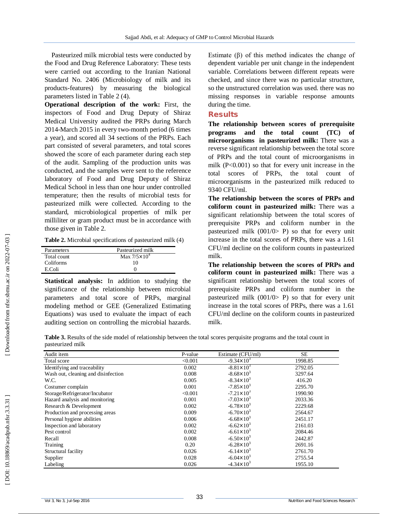Pasteurized milk microbial tests were conducted by the Food and Drug Reference Laboratory: These tests were carried out according to the Iranian National Standard No. 2406 (Microbiology of milk and its products -features) by measuring the biological parameters listed in Table 2 (4).

**Operational description of the work:** First, the inspectors of Food and Drug Deputy of Shiraz Medical University audited the PRPs during March 2014 -March 2015 in every two -month period (6 times a year), and scored all 34 sections of the PRPs. Each part consisted of several parameters, and total scores showed the score of each parameter during each step of the audit. Sampling of the production units was conducted, and the samples were sent to the reference laboratory of Food and Drug Deputy of Shiraz Medical School in less than one hour under controlled temperature; then the results of microbial tests for pasteurized milk were collected. According to the standard, microbiological properties of milk per milliliter or gram product must be in accordance with those given in Table 2.

**Table 2 .** Microbial specifications of pasteurized milk (4)

| Parameters  | Pasteurized milk      |
|-------------|-----------------------|
| Total count | Max $7/5 \times 10^4$ |
| Coliforms   | 10                    |
| E.Coli      |                       |

**Statistical analysis :** In addition to studying the significance of the relationship between microbial parameters and total score of PRPs, marginal modeling method or GEE (Generalized Estimating Equations) was used to evaluate the impact of each auditing section on controlling the microbial hazards.

Estimate  $(\beta)$  of this method indicates the change of dependent variable per unit change in the independent variable. Correlations between different repeats were checked, and since there was no particular structure, so the unstructured correlation was used. there was no missing responses in variable response amounts during the time.

## **Results**

**The relationship between scores of prerequisite programs and the total count (TC) of microorganisms in pasteurized milk :** There was a reverse significant relationship between the total score of PRPs and the total count of microorganisms in milk (P<0.001) so that for every unit increase in the total scores of PRPs, the total count of microorganisms in the pasteurized milk reduced to 9340 CFU/ml.

**The relationship between the scores of PRPs and coliform count in pasteurized milk :** There was a significant relationship between the total scores of prerequisite PRPs and coliform number in the pasteurized milk (001/0> P) so that for every unit increase in the total scores of PRPs, there was a 1.61 CFU/ml decline on the coliform counts in pasteurized milk.

**The relationship between the scores of PRPs and coliform count in pasteurized milk :** There was a significant relationship between the total scores of prerequisite PRPs and coliform number in the pasteurized milk (001/0> P) so that for every unit increase in the total scores of PRPs, there was a 1.61 CFU/ml decline on the coliform counts in pasteurized milk.

**Table 3.** Results of the side model of relationship between the total scores perquisite programs and the total count in pasteurized milk

| Audit item                          | P-value | Estimate (CFU/ml)     | <b>SE</b> |
|-------------------------------------|---------|-----------------------|-----------|
| Total score                         | < 0.001 | $-9.34 \times 10^{3}$ | 1998.85   |
| Identifying and traceability        | 0.002   | $-8.81 \times 10^{3}$ | 2792.05   |
| Wash out, cleaning and disinfection | 0.008   | $-8.68 \times 10^{3}$ | 3297.64   |
| W.C.                                | 0.005   | $-8.34 \times 10^{3}$ | 416.20    |
| Costumer complain                   | 0.001   | $-7.85 \times 10^3$   | 2295.70   |
| Storage/Refrigerator/Incubator      | < 0.001 | $-7.21 \times 10^3$   | 1990.90   |
| Hazard analysis and monitoring      | 0.001   | $-7.03 \times 10^3$   | 2033.36   |
| Research & Development              | 0.002   | $-6.78 \times 10^3$   | 2229.68   |
| Production and processing areas     | 0.009   | $-6.70\times10^{3}$   | 2564.67   |
| Personal hygiene abilities          | 0.006   | $-6.68\times10^{3}$   | 2451.17   |
| Inspection and laboratory           | 0.002   | $-6.62\times10^{3}$   | 2161.03   |
| Pest control                        | 0.002   | $-6.61 \times 10^3$   | 2084.46   |
| Recall                              | 0.008   | $-6.50 \times 10^3$   | 2442.87   |
| Training                            | 0.20    | $-6.28 \times 10^3$   | 2691.16   |
| Structural facility                 | 0.026   | $-6.14 \times 10^3$   | 2761.70   |
| Supplier                            | 0.028   | $-6.04 \times 10^{3}$ | 2755.54   |
| Labeling                            | 0.026   | $-4.34 \times 10^3$   | 1955.10   |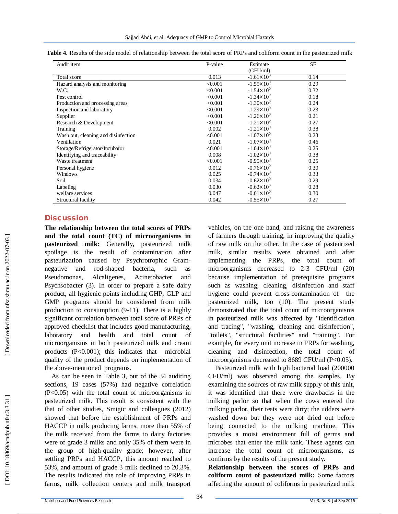|  | <b>Table 4.</b> Results of the side model of relationship between the total score of PRPs and coliform count in the pasteurized milk |  |
|--|--------------------------------------------------------------------------------------------------------------------------------------|--|
|--|--------------------------------------------------------------------------------------------------------------------------------------|--|

| Audit item                          | P-value | Estimate              | <b>SE</b> |
|-------------------------------------|---------|-----------------------|-----------|
|                                     |         | (CFU/ml)              |           |
| Total score                         | 0.013   | $-1.61 \times 10^{0}$ | 0.14      |
| Hazard analysis and monitoring      | < 0.001 | $-1.55 \times 10^{0}$ | 0.29      |
| W.C.                                | < 0.001 | $-1.54\times10^{0}$   | 0.32      |
| Pest control                        | < 0.001 | $-1.34 \times 10^{0}$ | 0.18      |
| Production and processing areas     | < 0.001 | $-1.30\times10^{0}$   | 0.24      |
| Inspection and laboratory           | < 0.001 | $-1.29\times10^{0}$   | 0.23      |
| Supplier                            | < 0.001 | $-1.26 \times 10^{0}$ | 0.21      |
| Research & Development              | < 0.001 | $-1.21 \times 10^{0}$ | 0.27      |
| Training                            | 0.002   | $-1.21 \times 10^{0}$ | 0.38      |
| Wash out, cleaning and disinfection | < 0.001 | $-1.07\times10^{0}$   | 0.23      |
| Ventilation                         | 0.021   | $-1.07\times10^{0}$   | 0.46      |
| Storage/Refrigerator/Incubator      | < 0.001 | $-1.04\times10^{0}$   | 0.25      |
| Identifying and traceability        | 0.008   | $-1.02 \times 10^{0}$ | 0.38      |
| Waste treatment                     | < 0.001 | $-0.95 \times 10^{0}$ | 0.25      |
| Personal hygiene                    | 0.012   | $-0.76 \times 10^{0}$ | 0.30      |
| Windows                             | 0.025   | $-0.74 \times 10^{0}$ | 0.33      |
| Soil                                | 0.034   | $-0.62\times10^{0}$   | 0.29      |
| Labeling                            | 0.030   | $-0.62 \times 10^{0}$ | 0.28      |
| welfare services                    | 0.047   | $-0.61 \times 10^{0}$ | 0.30      |
| Structural facility                 | 0.042   | $-0.55 \times 10^{0}$ | 0.27      |

## **Discussion**

**The relationship between the total scores of PRPs and the total count (TC) of microorganisms in pasteurized milk:** Generally, pasteurized milk spoilage is the result of contamination after pasteurization caused by Psychrotrophic Gram negative and rod-shaped bacteria, such as Pseudomonas, Alcaligenes, Acinetobacter and Psychsobacter (3). In order to prepare a safe dairy product, all hygienic points including GHP, GLP and GMP programs should be considered from milk production to consumption (9 -11). There is a highly significant correlation between total score of PRPs of approved checklist that includes good manufacturing, laboratory and health and total count of microorganisms in both pasteurized milk and cream products (P<0.001); this indicates that microbial quality of the product depends on implementation of the above -mentioned programs.

As can be seen in Table 3, out of the 34 auditing sections, 19 cases (57%) had negative correlation (P<0.05) with the total count of microorganisms in pasteurized milk. This result is consistent with the that of other studies, Smigic and colleagues (2012) showed that before the establishment of PRPs and HACCP in milk producing farms, more than 55% of the milk received from the farms to dairy factories were of grade 3 milks and only 35% of them were in the group of high -quality grade; however, after settling PRPs and HACCP, this amount reached to 53%, and amount of grade 3 milk declined to 20.3%. The results indicated the role of improving PRPs in farms, milk collection centers and milk transport

vehicles, on the one hand, and raising the awareness of farmers through training, in improving the quality of raw milk on the other. In the case of pasteurized milk, similar results were obtained and after implementing the PRPs, the total count of microorganisms decreased to 2 -3 CFU/ml (20) because implementation of prerequisite programs such as washing, cleaning, disinfection and staff hygiene could prevent cross -contamination of the pasteurized milk, too (10). The present study demonstrated that the total count of microorganisms in pasteurized milk was affected by "identification and tracing", "washing, cleaning and disinfection", "toilets", "structural facilities" and "training". For example, for every unit increase in PRPs for washing, cleaning and disinfection, the total count of microorganisms decreased to 8689 CFU/ml (P<0.05).

Pasteurized milk with high bacterial load (200000 CFU/ml) was observed among the samples. By examining the sources of raw milk supply of this unit, it was identified that there were drawbacks in the milking parlor so that when the cows entered the milking parlor, their teats were dirty; the udders were washed down but they were not dried out before being connected to the milking machine. This provides a moist environment full of germs and microbes that enter the milk tank. These agents can increase the total count of microorganisms, as confirms by the results of the present study.

**Relationship between the scores of PRPs and coliform count of pasteurized milk :** Some factors affecting the amount of coliforms in pasteurized milk

 [\[ DOI: 10.18869/acadpub.nfsr.3.3.31 \]](http://dx.doi.org/10.18869/acadpub.nfsr.3.3.31) 

DOI: 10.18869/acadpub.nfsr.3.3.31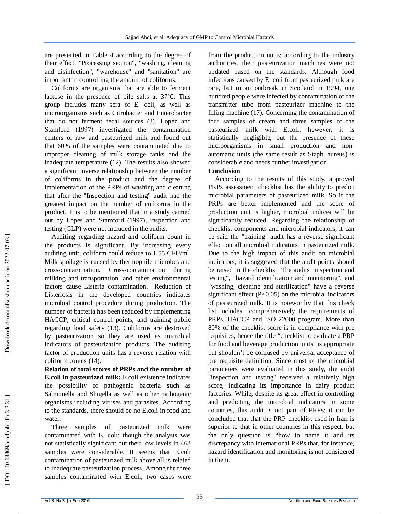are presented in Table 4 according to the degree of their effect. "Processing section", "washing, cleaning and disinfection", "warehouse" and "sanitation" are important in controlling the amount of coliforms.

Coliforms are organisms that are able to ferment lactose in the presence of bile salts at 37 ℃. This group includes many sera of E. coli, as well as microorganisms such as Citrobacter and Enterobacter that do not ferment fecal sources (3). Lopez and Stamford (1997) investigated the contamination centers of raw and pasteurized milk and found out that 60% of the samples were contaminated due to improper cleaning of milk storage tanks and the inadequate temperature (12). The results also showed a significant inverse relationship between the number of coliforms in the product and the degree of implementation of the PRPs of washing and cleaning that after the "Inspection and testing" audit had the greatest impact on the number of coliforms in the product. It is to be mentioned that in a study carried out by Lopes and Stamford (1997), inspection and testing (GLP) were not included in the audits.

Auditing regarding hazard and coliform count in the products is significant. By increasing every auditing unit, coliform could reduce to 1.55 CFU/ml. Milk spoilage is caused by thermophile microbes and cross -contamination. Cross Cross-contamination during milking and transportation, and other environmental factors cause Listeria contamination. Reduction of Listeriosis in the developed countries indicates microbial control procedure during production. The number of bacteria has been reduced by implementing HACCP, critical control points, and training public regarding food safety (13). Coliforms are destroyed by pasteurization so they are used as microbial indicators of pasteurization products. The auditing factor of production units has a reverse relation with coliform counts (14).

**Relation of total scores of PRPs and the number of E.coli in pasteurized milk:** E.coli existence indicates the possibility of pathogenic bacteria such as Salmonella and Shigella as well as other pathogenic organisms including viruses and parasites. According to the standards, there should be no E.coli in food and water.

Three samples of pasteurized milk were contaminated with E. coli; though the analysis was not statistically significant but their low levels in 468 samples were considerable. It seems that E.coli contamination of pasteurized milk above all is related to inadequate pasteurization process. Among the three samples contaminated with E.coli, two cases were

from the production units; according to the industry authorities, their pasteurization machines were not updated based on the standards. Although food infections caused by E. coli from pasteurized milk are rare, but in an outbreak in Scotland in 1994, one hundred people were infected by contamination of the transmitter tube from pasteurizer machine to the filling machine (17). Concerning the contamination of four samples of cream and three samples of the pasteurized milk with E.coli; however, it is statistically negligible, but the presence of these microorganisms in small production and non automatic units (the same result as Staph. aureus) is considerable and needs further investigation.

## **Conclusion**

According to the results of this study, approved PRPs assessment checklist has the ability to predict microbial parameters of pasteurized milk. So if the PRPs are better implemented and the score of production unit is higher, microbial indices will be significantly reduced. Regarding the relationship of checklist components and microbial indicators, it can be said the "training" audit has a reverse significant effect on all microbial indicators in pasteurized milk. Due to the high impact of this audit on microbial indicators, it is suggested that the audit points should be raised in the checklist. The audits "inspection and testing", "hazard identification and monitoring", and "washing, cleaning and sterilization" have a reverse significant effect (P<0.05) on the microbial indicators of pasteurized milk. It is noteworthy that this check list includes comprehensively the requirements of PRPs, HACCP and ISO 22000 program. More than 80% of the checklist score is in compliance with pre requisites, hence the title "checklist to evaluate a PRP for food and beverage production units" is appropriate but shouldn't be confused by universal acceptance of pre requisite definition. Since most of the microbial parameters were evaluated in this study, the audit "inspection and testing" received a relatively high score, indicating its importance in dairy product factories. While, despite its great effect in controlling and predicting the microbial indicators in some countries, this audit is not part of PRPs; it can be concluded that that the PRP checklist used in Iran is superior to that in other countries in this respect, but the only question is "how to name it and its discrepancy with international PRPs that, for instance, hazard identification and monitoring is not considered in them.